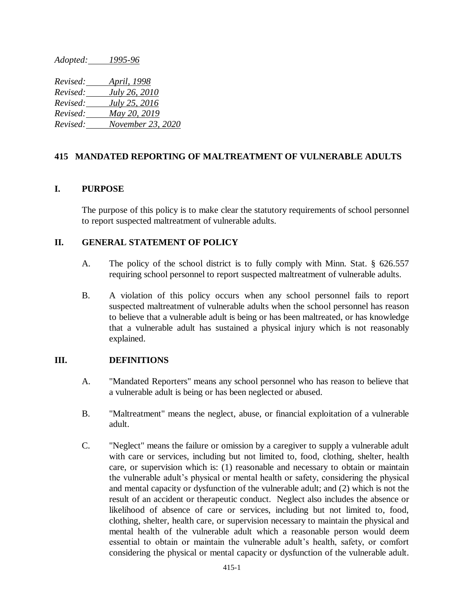*Adopted: 1995-96*

| Revised: | <u>April, 1998</u>   |
|----------|----------------------|
| Revised: | <i>July 26, 2010</i> |
| Revised: | <i>July 25, 2016</i> |
| Revised: | May 20, 2019         |
| Revised: | November 23, 2020    |

## **415 MANDATED REPORTING OF MALTREATMENT OF VULNERABLE ADULTS**

### **I. PURPOSE**

The purpose of this policy is to make clear the statutory requirements of school personnel to report suspected maltreatment of vulnerable adults.

### **II. GENERAL STATEMENT OF POLICY**

- A. The policy of the school district is to fully comply with Minn. Stat. § 626.557 requiring school personnel to report suspected maltreatment of vulnerable adults.
- B. A violation of this policy occurs when any school personnel fails to report suspected maltreatment of vulnerable adults when the school personnel has reason to believe that a vulnerable adult is being or has been maltreated, or has knowledge that a vulnerable adult has sustained a physical injury which is not reasonably explained.

#### **III. DEFINITIONS**

- A. "Mandated Reporters" means any school personnel who has reason to believe that a vulnerable adult is being or has been neglected or abused.
- B. "Maltreatment" means the neglect, abuse, or financial exploitation of a vulnerable adult.
- C. "Neglect" means the failure or omission by a caregiver to supply a vulnerable adult with care or services, including but not limited to, food, clothing, shelter, health care, or supervision which is: (1) reasonable and necessary to obtain or maintain the vulnerable adult's physical or mental health or safety, considering the physical and mental capacity or dysfunction of the vulnerable adult; and (2) which is not the result of an accident or therapeutic conduct. Neglect also includes the absence or likelihood of absence of care or services, including but not limited to, food, clothing, shelter, health care, or supervision necessary to maintain the physical and mental health of the vulnerable adult which a reasonable person would deem essential to obtain or maintain the vulnerable adult's health, safety, or comfort considering the physical or mental capacity or dysfunction of the vulnerable adult.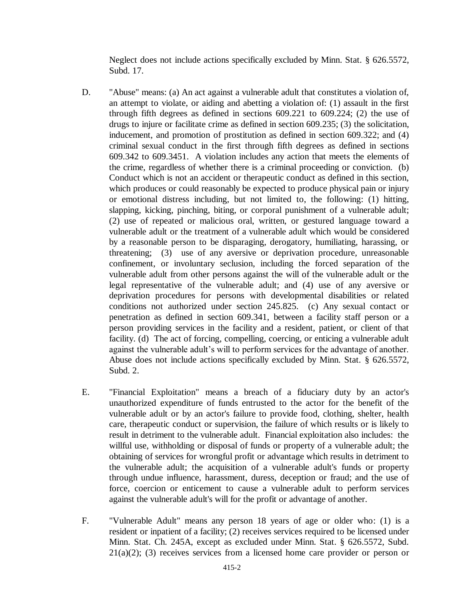Neglect does not include actions specifically excluded by Minn. Stat. § 626.5572, Subd. 17.

- D. "Abuse" means: (a) An act against a vulnerable adult that constitutes a violation of, an attempt to violate, or aiding and abetting a violation of: (1) assault in the first through fifth degrees as defined in sections 609.221 to 609.224; (2) the use of drugs to injure or facilitate crime as defined in section 609.235; (3) the solicitation, inducement, and promotion of prostitution as defined in section 609.322; and (4) criminal sexual conduct in the first through fifth degrees as defined in sections 609.342 to 609.3451. A violation includes any action that meets the elements of the crime, regardless of whether there is a criminal proceeding or conviction. (b) Conduct which is not an accident or therapeutic conduct as defined in this section, which produces or could reasonably be expected to produce physical pain or injury or emotional distress including, but not limited to, the following: (1) hitting, slapping, kicking, pinching, biting, or corporal punishment of a vulnerable adult; (2) use of repeated or malicious oral, written, or gestured language toward a vulnerable adult or the treatment of a vulnerable adult which would be considered by a reasonable person to be disparaging, derogatory, humiliating, harassing, or threatening; (3) use of any aversive or deprivation procedure, unreasonable confinement, or involuntary seclusion, including the forced separation of the vulnerable adult from other persons against the will of the vulnerable adult or the legal representative of the vulnerable adult; and (4) use of any aversive or deprivation procedures for persons with developmental disabilities or related conditions not authorized under section 245.825. (c) Any sexual contact or penetration as defined in section 609.341, between a facility staff person or a person providing services in the facility and a resident, patient, or client of that facility. (d) The act of forcing, compelling, coercing, or enticing a vulnerable adult against the vulnerable adult's will to perform services for the advantage of another. Abuse does not include actions specifically excluded by Minn. Stat. § 626.5572, Subd. 2.
- E. "Financial Exploitation" means a breach of a fiduciary duty by an actor's unauthorized expenditure of funds entrusted to the actor for the benefit of the vulnerable adult or by an actor's failure to provide food, clothing, shelter, health care, therapeutic conduct or supervision, the failure of which results or is likely to result in detriment to the vulnerable adult. Financial exploitation also includes: the willful use, withholding or disposal of funds or property of a vulnerable adult; the obtaining of services for wrongful profit or advantage which results in detriment to the vulnerable adult; the acquisition of a vulnerable adult's funds or property through undue influence, harassment, duress, deception or fraud; and the use of force, coercion or enticement to cause a vulnerable adult to perform services against the vulnerable adult's will for the profit or advantage of another.
- F. "Vulnerable Adult" means any person 18 years of age or older who: (1) is a resident or inpatient of a facility; (2) receives services required to be licensed under Minn. Stat. Ch. 245A, except as excluded under Minn. Stat. § 626.5572, Subd.  $21(a)(2)$ ; (3) receives services from a licensed home care provider or person or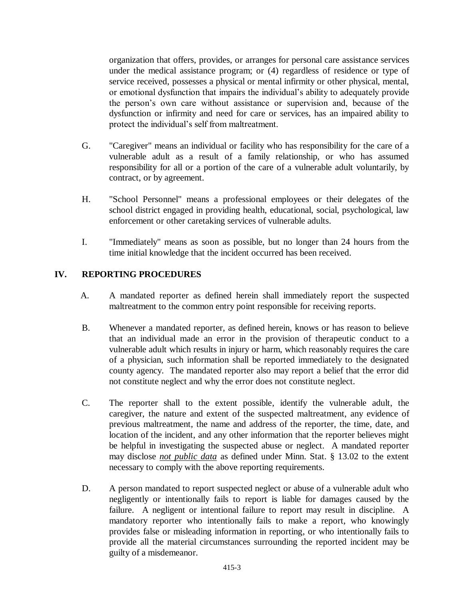organization that offers, provides, or arranges for personal care assistance services under the medical assistance program; or (4) regardless of residence or type of service received, possesses a physical or mental infirmity or other physical, mental, or emotional dysfunction that impairs the individual's ability to adequately provide the person's own care without assistance or supervision and, because of the dysfunction or infirmity and need for care or services, has an impaired ability to protect the individual's self from maltreatment.

- G. "Caregiver" means an individual or facility who has responsibility for the care of a vulnerable adult as a result of a family relationship, or who has assumed responsibility for all or a portion of the care of a vulnerable adult voluntarily, by contract, or by agreement.
- H. "School Personnel" means a professional employees or their delegates of the school district engaged in providing health, educational, social, psychological, law enforcement or other caretaking services of vulnerable adults.
- I. "Immediately" means as soon as possible, but no longer than 24 hours from the time initial knowledge that the incident occurred has been received.

# **IV. REPORTING PROCEDURES**

- A. A mandated reporter as defined herein shall immediately report the suspected maltreatment to the common entry point responsible for receiving reports.
- B. Whenever a mandated reporter, as defined herein, knows or has reason to believe that an individual made an error in the provision of therapeutic conduct to a vulnerable adult which results in injury or harm, which reasonably requires the care of a physician, such information shall be reported immediately to the designated county agency. The mandated reporter also may report a belief that the error did not constitute neglect and why the error does not constitute neglect.
- C. The reporter shall to the extent possible, identify the vulnerable adult, the caregiver, the nature and extent of the suspected maltreatment, any evidence of previous maltreatment, the name and address of the reporter, the time, date, and location of the incident, and any other information that the reporter believes might be helpful in investigating the suspected abuse or neglect. A mandated reporter may disclose *not public data* as defined under Minn. Stat. § 13.02 to the extent necessary to comply with the above reporting requirements.
- D. A person mandated to report suspected neglect or abuse of a vulnerable adult who negligently or intentionally fails to report is liable for damages caused by the failure. A negligent or intentional failure to report may result in discipline. A mandatory reporter who intentionally fails to make a report, who knowingly provides false or misleading information in reporting, or who intentionally fails to provide all the material circumstances surrounding the reported incident may be guilty of a misdemeanor.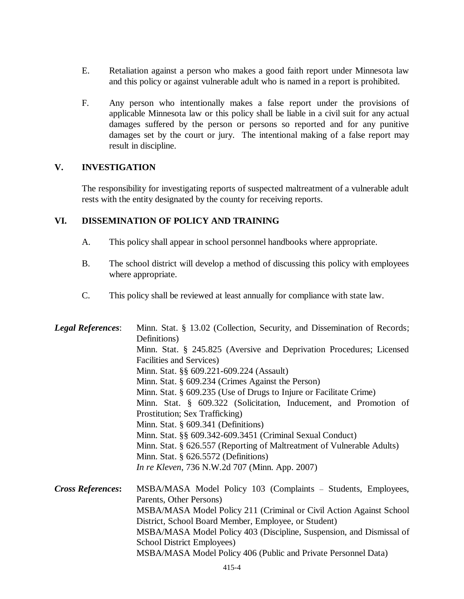- E. Retaliation against a person who makes a good faith report under Minnesota law and this policy or against vulnerable adult who is named in a report is prohibited.
- F. Any person who intentionally makes a false report under the provisions of applicable Minnesota law or this policy shall be liable in a civil suit for any actual damages suffered by the person or persons so reported and for any punitive damages set by the court or jury. The intentional making of a false report may result in discipline.

# **V. INVESTIGATION**

The responsibility for investigating reports of suspected maltreatment of a vulnerable adult rests with the entity designated by the county for receiving reports.

## **VI. DISSEMINATION OF POLICY AND TRAINING**

- A. This policy shall appear in school personnel handbooks where appropriate.
- B. The school district will develop a method of discussing this policy with employees where appropriate.
- C. This policy shall be reviewed at least annually for compliance with state law.

| Definitions)<br>Minn. Stat. § 245.825 (Aversive and Deprivation Procedures; Licensed<br>Facilities and Services)     |  |
|----------------------------------------------------------------------------------------------------------------------|--|
|                                                                                                                      |  |
|                                                                                                                      |  |
|                                                                                                                      |  |
| Minn. Stat. §§ 609.221-609.224 (Assault)                                                                             |  |
| Minn. Stat. § 609.234 (Crimes Against the Person)                                                                    |  |
| Minn. Stat. § 609.235 (Use of Drugs to Injure or Facilitate Crime)                                                   |  |
| Minn. Stat. § 609.322 (Solicitation, Inducement, and Promotion of                                                    |  |
| Prostitution; Sex Trafficking)                                                                                       |  |
| Minn. Stat. $§ 609.341$ (Definitions)                                                                                |  |
| Minn. Stat. §§ 609.342-609.3451 (Criminal Sexual Conduct)                                                            |  |
| Minn. Stat. § 626.557 (Reporting of Maltreatment of Vulnerable Adults)                                               |  |
| Minn. Stat. $§ 626.5572$ (Definitions)                                                                               |  |
| In re Kleven, 736 N.W.2d 707 (Minn. App. 2007)                                                                       |  |
| <b>Cross References:</b><br>MSBA/MASA Model Policy 103 (Complaints – Students, Employees,<br>Parents, Other Persons) |  |
| MSBA/MASA Model Policy 211 (Criminal or Civil Action Against School                                                  |  |
| District, School Board Member, Employee, or Student)                                                                 |  |
| MSBA/MASA Model Policy 403 (Discipline, Suspension, and Dismissal of                                                 |  |
| School District Employees)                                                                                           |  |